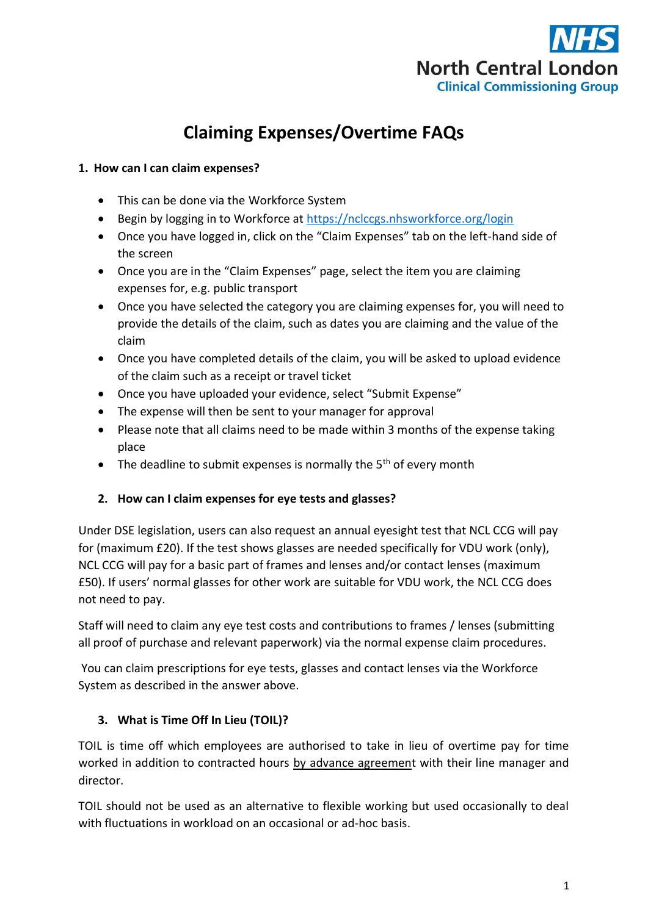

# **Claiming Expenses/Overtime FAQs**

## **1. How can I can claim expenses?**

- This can be done via the Workforce System
- **Begin by logging in to Workforce at<https://nclccgs.nhsworkforce.org/login>**
- Once you have logged in, click on the "Claim Expenses" tab on the left-hand side of the screen
- Once you are in the "Claim Expenses" page, select the item you are claiming expenses for, e.g. public transport
- Once you have selected the category you are claiming expenses for, you will need to provide the details of the claim, such as dates you are claiming and the value of the claim
- Once you have completed details of the claim, you will be asked to upload evidence of the claim such as a receipt or travel ticket
- Once you have uploaded your evidence, select "Submit Expense"
- The expense will then be sent to your manager for approval
- Please note that all claims need to be made within 3 months of the expense taking place
- $\bullet$  The deadline to submit expenses is normally the 5<sup>th</sup> of every month

#### **2. How can I claim expenses for eye tests and glasses?**

Under DSE legislation, users can also request an annual eyesight test that NCL CCG will pay for (maximum £20). If the test shows glasses are needed specifically for VDU work (only), NCL CCG will pay for a basic part of frames and lenses and/or contact lenses (maximum £50). If users' normal glasses for other work are suitable for VDU work, the NCL CCG does not need to pay.

Staff will need to claim any eye test costs and contributions to frames / lenses (submitting all proof of purchase and relevant paperwork) via the normal expense claim procedures.

You can claim prescriptions for eye tests, glasses and contact lenses via the Workforce System as described in the answer above.

## **3. What is Time Off In Lieu (TOIL)?**

TOIL is time off which employees are authorised to take in lieu of overtime pay for time worked in addition to contracted hours by advance agreement with their line manager and director.

TOIL should not be used as an alternative to flexible working but used occasionally to deal with fluctuations in workload on an occasional or ad-hoc basis.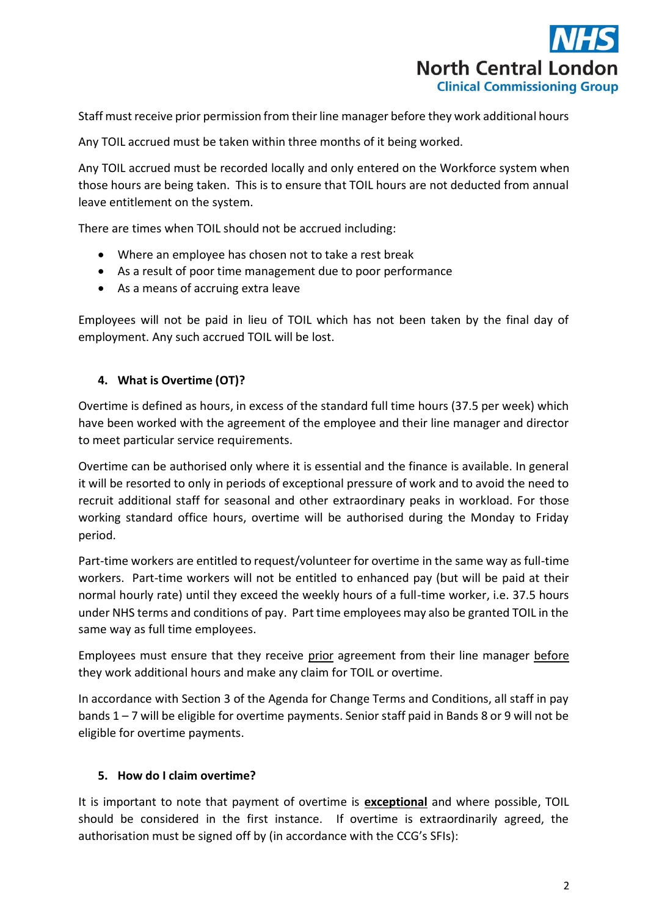

Staff must receive prior permission from their line manager before they work additional hours

Any TOIL accrued must be taken within three months of it being worked.

Any TOIL accrued must be recorded locally and only entered on the Workforce system when those hours are being taken. This is to ensure that TOIL hours are not deducted from annual leave entitlement on the system.

There are times when TOIL should not be accrued including:

- Where an employee has chosen not to take a rest break
- As a result of poor time management due to poor performance
- As a means of accruing extra leave

Employees will not be paid in lieu of TOIL which has not been taken by the final day of employment. Any such accrued TOIL will be lost.

### **4. What is Overtime (OT)?**

Overtime is defined as hours, in excess of the standard full time hours (37.5 per week) which have been worked with the agreement of the employee and their line manager and director to meet particular service requirements.

Overtime can be authorised only where it is essential and the finance is available. In general it will be resorted to only in periods of exceptional pressure of work and to avoid the need to recruit additional staff for seasonal and other extraordinary peaks in workload. For those working standard office hours, overtime will be authorised during the Monday to Friday period.

Part-time workers are entitled to request/volunteer for overtime in the same way as full-time workers. Part-time workers will not be entitled to enhanced pay (but will be paid at their normal hourly rate) until they exceed the weekly hours of a full-time worker, i.e. 37.5 hours under NHS terms and conditions of pay. Part time employees may also be granted TOIL in the same way as full time employees.

Employees must ensure that they receive prior agreement from their line manager before they work additional hours and make any claim for TOIL or overtime.

In accordance with Section 3 of the Agenda for Change Terms and Conditions, all staff in pay bands 1 – 7 will be eligible for overtime payments. Senior staff paid in Bands 8 or 9 will not be eligible for overtime payments.

#### **5. How do I claim overtime?**

It is important to note that payment of overtime is **exceptional** and where possible, TOIL should be considered in the first instance. If overtime is extraordinarily agreed, the authorisation must be signed off by (in accordance with the CCG's SFIs):